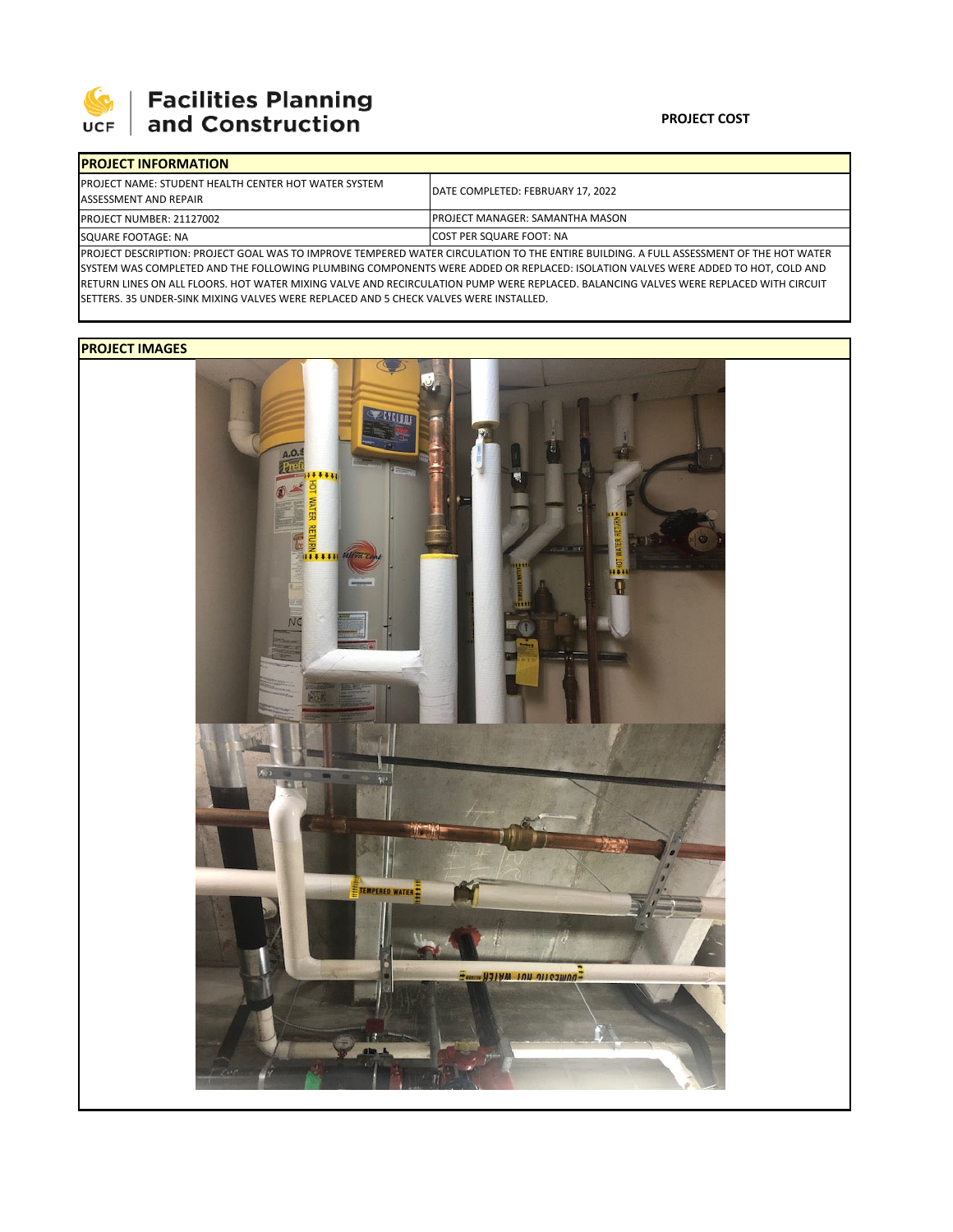

## **SEPTE AND Facilities Planning**<br>UCF and Construction

## **PROJECT COST**

| <b>IPROJECT INFORMATION</b>                                                                                                             |                                        |  |  |  |
|-----------------------------------------------------------------------------------------------------------------------------------------|----------------------------------------|--|--|--|
| <b>IPROJECT NAME: STUDENT HEALTH CENTER HOT WATER SYSTEM</b><br>ASSESSMENT AND REPAIR                                                   | DATE COMPLETED: FEBRUARY 17, 2022      |  |  |  |
| <b>PROJECT NUMBER: 21127002</b>                                                                                                         | <b>PROJECT MANAGER: SAMANTHA MASON</b> |  |  |  |
| SQUARE FOOTAGE: NA                                                                                                                      | <b>COST PER SQUARE FOOT: NA</b>        |  |  |  |
| IDROIFCT DESCRIPTION: DROIFCT GOAL WAS TO IMPROVE TEMPERED WATER CIRCULATION TO THE ENTIRE RUILDING. A FULL ASSESSMENT OF THE HOT WATER |                                        |  |  |  |

CRIPTION: PROJECT GOAL WAS TO IMPROVE TEMPERED WATER CIRCULATION TO THE ENTIRE BUILDING. A FULL ASSESSMENT OF THE HOT WATER SYSTEM WAS COMPLETED AND THE FOLLOWING PLUMBING COMPONENTS WERE ADDED OR REPLACED: ISOLATION VALVES WERE ADDED TO HOT, COLD AND RETURN LINES ON ALL FLOORS. HOT WATER MIXING VALVE AND RECIRCULATION PUMP WERE REPLACED. BALANCING VALVES WERE REPLACED WITH CIRCUIT SETTERS. 35 UNDER‐SINK MIXING VALVES WERE REPLACED AND 5 CHECK VALVES WERE INSTALLED.

## **PROJECT IMAGES**